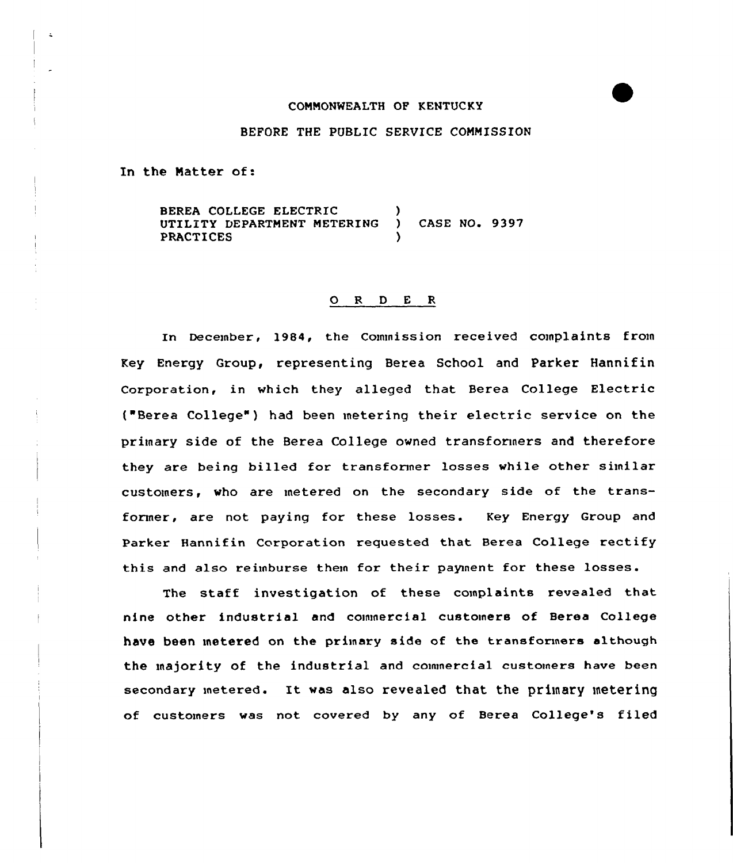## CONNONWEALTH OF KENTUCKY

## BEFORE THE PUBLIC SERVICE COMMISSION

In the Natter of:

BEREA COLLEGE ELECTRIC (2008)<br>UTILITY DEPARTMENT METERING (2008) CASE NO. 9397 UTILITY DEPARTMENT METERING **PRACTICES** 

## 0 <sup>R</sup> <sup>D</sup> <sup>E</sup> <sup>R</sup>

In December, 1984, the Commission received complaints from Key Energy Group, representing Berea School and Parker Hannifin Corporation, in which they alleged that Berea College Electric ("Berea College") had been metering their electric service on the primary side of the Berea College owned transformers and therefore they are being billed for transformer losses while other similar customers, who are metered on the secondary side of the transformer, are not paying for these losses. Key Energy Group and Parker Hannifin Corporation requested that Berea College rectify this and also reimburse them for their pagnent for these losses.

The staff investigation of these complaints revealed that nine other industrial and commercial customers of Berea College have been metered on the primary side of the transformers although the majority of the industrial and commercial customers have been secondary metered. It was also revealed that the primary metering of customers was not covered by any of Berea College's filed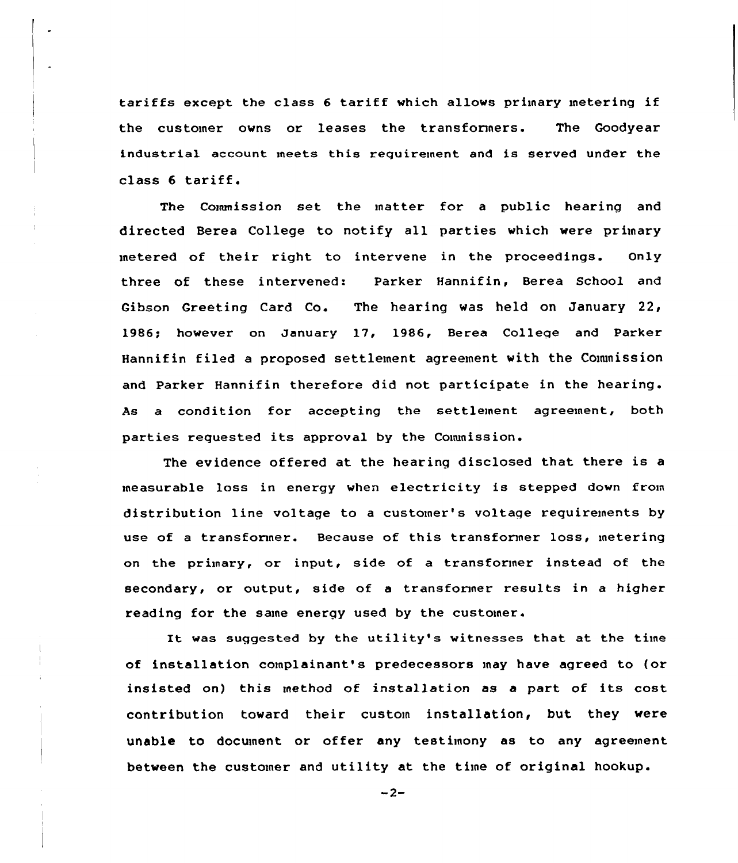tariffs except the class 6 tariff which allows primary metering if the customer owns or leases the transformers. The Goodyear industrial account meets this requirement and is served under the class <sup>6</sup> tariff.

The Commission set the matter for a public hearing and directed Berea College to notify all parties which were primary metered of their right to intervene in the proceedings. only three of these intervened: Parker Hannifin, Berea School and Gibson Greeting Card Co. The hearing was held on January 22, 1986; however on January 17, 1986, Berea College and Parker Hannifin filed a proposed settlement agreement with the Commission and Parker Hannifin therefore did not participate in the hearing. As a condition for accepting the settlement agreement, both parties requested its approval by the Commission.

The evidence offered at the hearing disclosed that there is <sup>a</sup> measurable loss in energy when electricity is stepped down from distribution line voltage to a customer's voltage requirements by use of a transformer. Because of this transformer loss, metering on the primary, or input, side of a transformer instead of the secondary, or output, side of a transformer results in a higher reading for the same energy used by the customer.

It was suggested by the utility's witnesses that at the time of installation complainant's predecessors may have agreed to (or insisted on) this method of installation as <sup>a</sup> part of its cost contribution toward their custom installation, but they were unable to document or offer any testimony as to any agreement between the customer and utility at the time of original hookup.

 $-2-$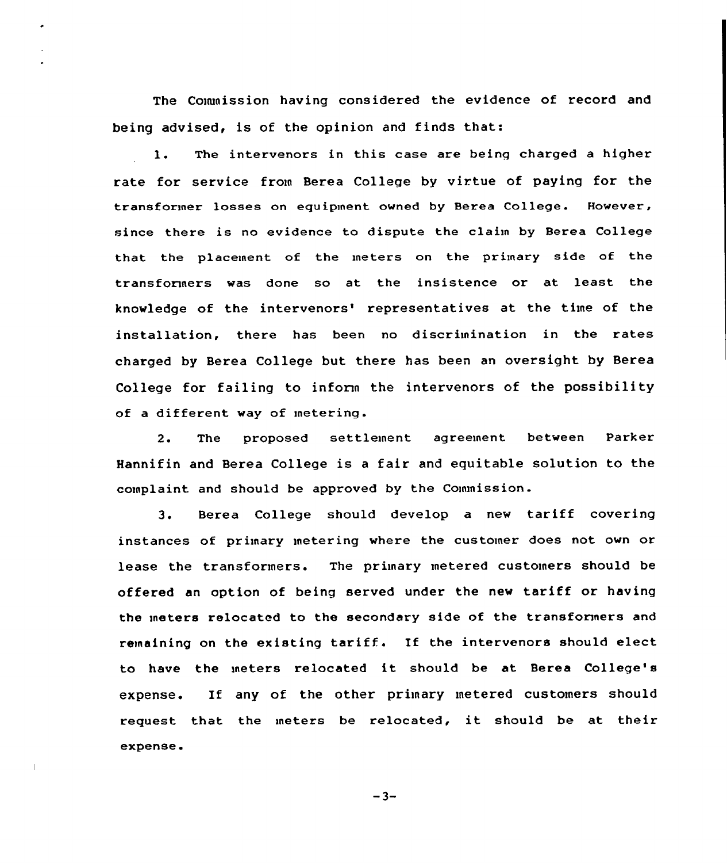The Commission having considered the evidence of record and being advised, is of the opinion and finds that:

1. The intervenors in this case are being charged <sup>a</sup> higher rate for service from Berea College by virtue of paying for the transformer losses on equipment owned by Berea College. However, since there is no evidence to dispute the claim by Berea College that the placement. of the meters on the primary side of the transformers was done so at the insistence or at least the knowledge of the intervenors' representatives at the time of the installation, there has been no discrimination in the rates charged by Berea College but there has been an oversight by Berea College for failing to inform the intervenors of the possibility of a different way of metering.

2. The proposed settlement agreement between Parker Hannifin and Berea College is <sup>a</sup> fair and equitable solution to the complaint and should be approved by the Commission.

3. Berea College should develop <sup>a</sup> new tariff covering instances of primary metering where the customer does not own or lease the transformers. The primary metered customers should be offered an option of being served under the new tariff or having the meters relocated to the secondary side of the transformers and remaining on the existing tariff. If the intervenors should elect to have the meters relocated it should be at Berea College's expense. If any of the other primary metered customers should request that the meters be relocated, it should be at their expense.

 $-3-$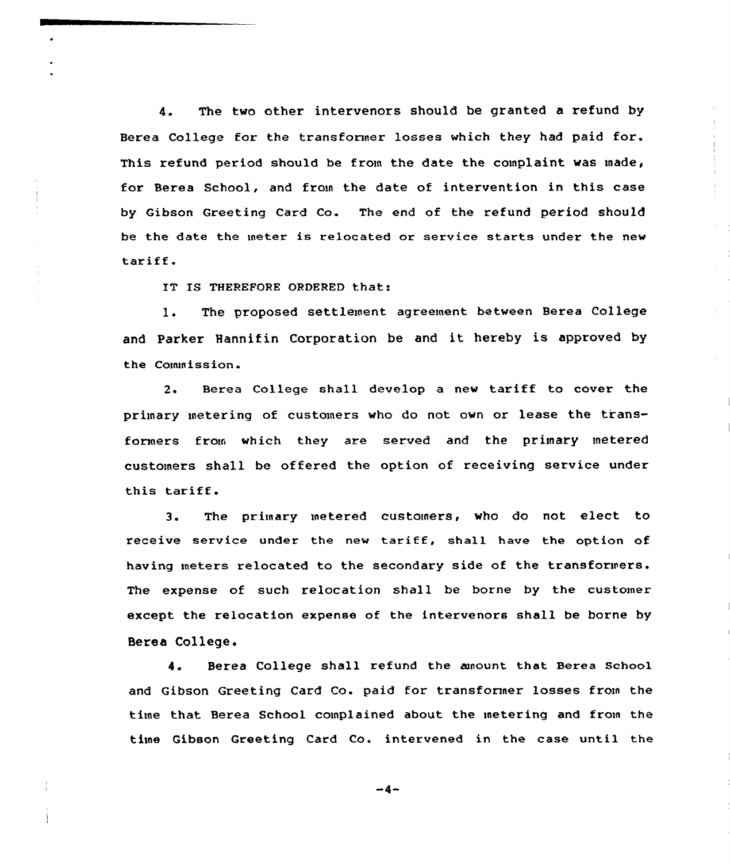4. The two other intervenors should be granted a refund by Berea College for the transformer losses which they had paid for. This refund period should be from the date the complaint was made, for Berea School, and from the date of intervention in this case by Gibson Greeting Card Co. The end of the refund period should be the date the meter is relocated or service starts under the new tariff.

IT IS THEREFORE ORDERED that:

1. The proposed settlement agreement between Berea College and Parker Hannifin Corporation be and it hereby is approved by the Commission.

2. Berea College shall develop a new tariff to cover the primary metering of customers who do not own or lease the transformers from which they are served and the primary metered customers shall be offered the option of receiving service under this tariff.

3. The primary metered customers, who do not elect to receive service under the new tariff, shall have the option of having meters relocated to the secondary side of the transformers. The expense of such relocation shall be borne by the customer except the relocation expense of the intervenors shall be borne by Berea College.

4. Berea College shall refund the aunount that Berea school and Gibson Greeting Card Co. paid for transformer losses from the time that Berea School complained about the metering and from the time Gibson Greeting Card Co. intervened in the case until the

-4-